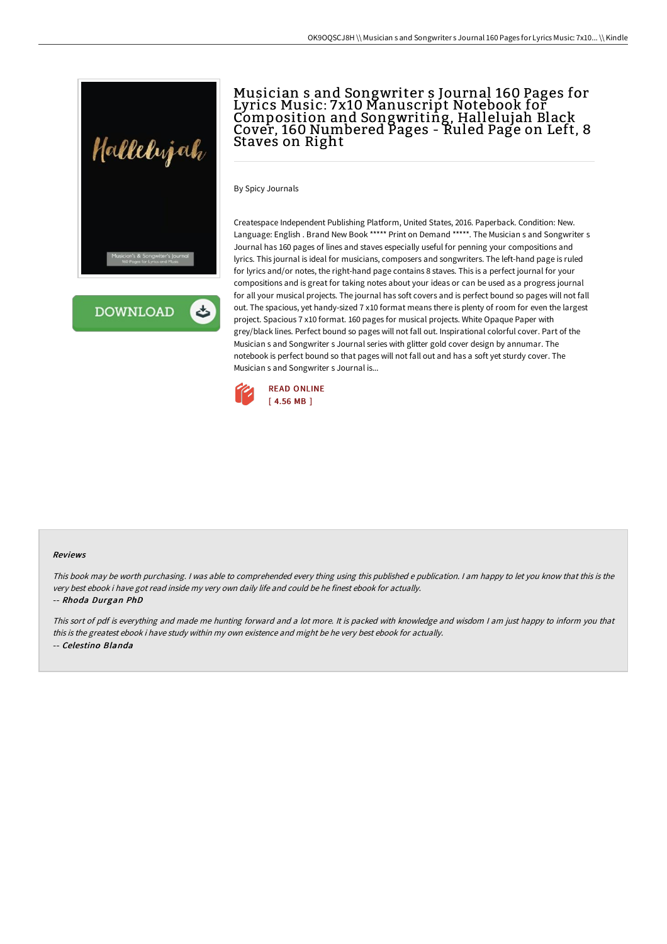

**DOWNLOAD** ٹ

# Musician s and Songwriter s Journal 160 Pages for Lyrics Music: 7x10 Manuscript Notebook for Composition and Songwriting, Hallelujah Black Cover, 160 Numbered Pages - Ruled Page on Left, 8 Staves on Right

By Spicy Journals

Createspace Independent Publishing Platform, United States, 2016. Paperback. Condition: New. Language: English . Brand New Book \*\*\*\*\* Print on Demand \*\*\*\*\*. The Musician s and Songwriter s Journal has 160 pages of lines and staves especially useful for penning your compositions and lyrics. This journal is ideal for musicians, composers and songwriters. The left-hand page is ruled for lyrics and/or notes, the right-hand page contains 8 staves. This is a perfect journal for your compositions and is great for taking notes about your ideas or can be used as a progress journal for all your musical projects. The journal has soft covers and is perfect bound so pages will not fall out. The spacious, yet handy-sized 7 x10 format means there is plenty of room for even the largest project. Spacious 7 x10 format. 160 pages for musical projects. White Opaque Paper with grey/black lines. Perfect bound so pages will not fall out. Inspirational colorful cover. Part of the Musician s and Songwriter s Journal series with glitter gold cover design by annumar. The notebook is perfect bound so that pages will not fall out and has a soft yet sturdy cover. The Musician s and Songwriter s Journal is...



### Reviews

This book may be worth purchasing. I was able to comprehended every thing using this published <sup>e</sup> publication. I am happy to let you know that this is the very best ebook i have got read inside my very own daily life and could be he finest ebook for actually.

#### -- Rhoda Durgan PhD

This sort of pdf is everything and made me hunting forward and <sup>a</sup> lot more. It is packed with knowledge and wisdom <sup>I</sup> am just happy to inform you that this is the greatest ebook i have study within my own existence and might be he very best ebook for actually. -- Celestino Blanda